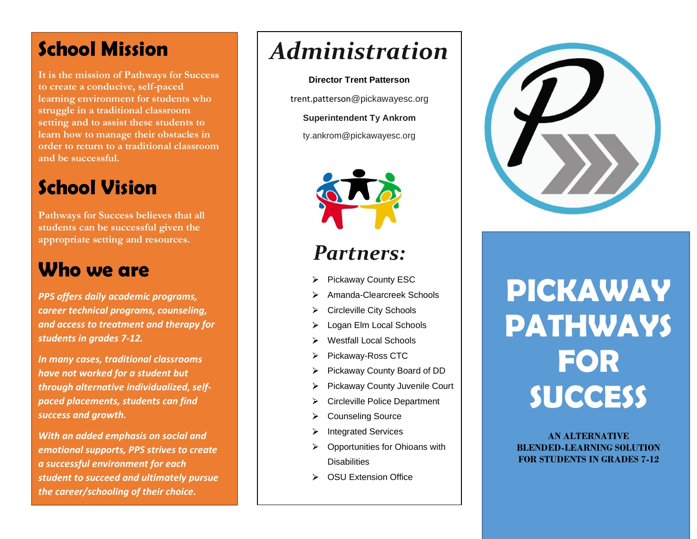# **School Mission**

**It is the mission of Pathways for Success to create a conducive, self-paced learning environment for students who struggle in a traditional classroom setting and to assist these students to learn how to manage their obstacles in order to return to a traditional classroom and be successful.**

# **School Vision**

**Pathways for Success believes that all students can be successful given the appropriate setting and resources.**

## **Who we are**

*PPS offers daily academic programs, career technical programs, counseling, and access to treatment and therapy for students in grades 7-12.* 

*In many cases, traditional classrooms have not worked for a student but through alternative individualized, selfpaced placements, students can find success and growth.* 

*With an added emphasis on social and emotional supports, PPS strives to create a successful environment for each student to succeed and ultimately pursue the career/schooling of their choice.* 

# *Administration*

**Director Trent Patterson**

trent.patterson@pickawayesc.org

**Superintendent Ty Ankrom**

ty.ankrom@pickawayesc.org



# *Partners:*

- Pickaway County ESC
- Amanda-Clearcreek Schools
- Circleville City Schools
- Logan Elm Local Schools
- Westfall Local Schools
- Pickaway-Ross CTC
- Pickaway County Board of DD  $\blacktriangleright$
- Pickaway County Juvenile Court ⋗
- ⋗ Circleville Police Department
- Counseling Source ≻
- Integrated Services
- Opportunities for Ohioans with  $\blacktriangleright$ **Disabilities**
- ▶ OSU Extension Office



# **PICKAWAY PATHWAYS FOR SUCCESS**

**AN ALTERNATIVE BLENDED-LEARNING SOLUTION FOR STUDENTS IN GRADES 7-12**